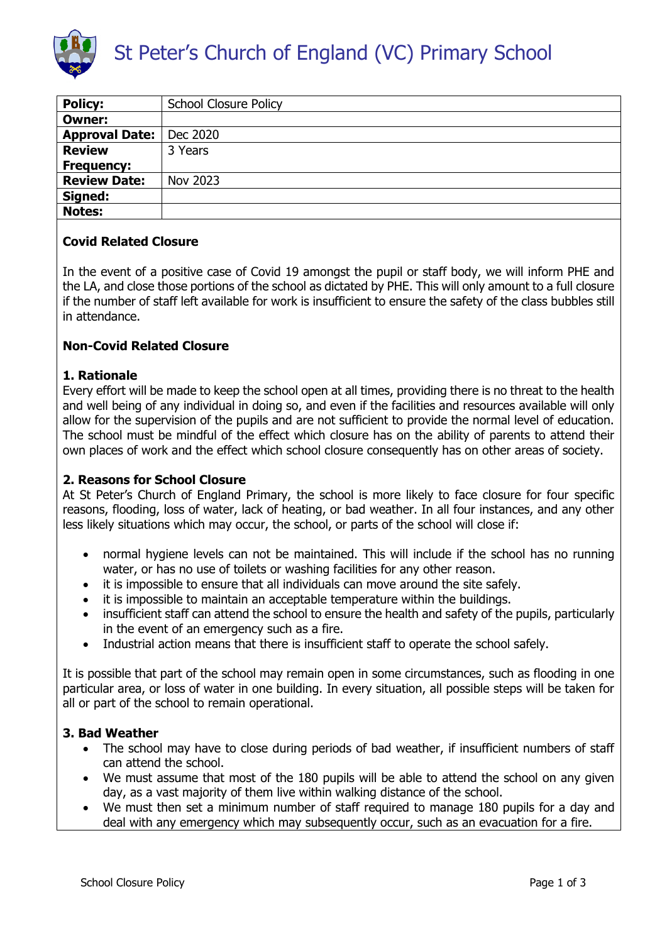

| <b>Policy:</b>        | <b>School Closure Policy</b> |
|-----------------------|------------------------------|
| <b>Owner:</b>         |                              |
| <b>Approval Date:</b> | Dec 2020                     |
| <b>Review</b>         | 3 Years                      |
| <b>Frequency:</b>     |                              |
| <b>Review Date:</b>   | Nov 2023                     |
| Signed:               |                              |
| <b>Notes:</b>         |                              |
|                       |                              |

### **Covid Related Closure**

In the event of a positive case of Covid 19 amongst the pupil or staff body, we will inform PHE and the LA, and close those portions of the school as dictated by PHE. This will only amount to a full closure if the number of staff left available for work is insufficient to ensure the safety of the class bubbles still in attendance.

## **Non-Covid Related Closure**

### **1. Rationale**

Every effort will be made to keep the school open at all times, providing there is no threat to the health and well being of any individual in doing so, and even if the facilities and resources available will only allow for the supervision of the pupils and are not sufficient to provide the normal level of education. The school must be mindful of the effect which closure has on the ability of parents to attend their own places of work and the effect which school closure consequently has on other areas of society.

### **2. Reasons for School Closure**

At St Peter's Church of England Primary, the school is more likely to face closure for four specific reasons, flooding, loss of water, lack of heating, or bad weather. In all four instances, and any other less likely situations which may occur, the school, or parts of the school will close if:

- normal hygiene levels can not be maintained. This will include if the school has no running water, or has no use of toilets or washing facilities for any other reason.
- it is impossible to ensure that all individuals can move around the site safely.
- it is impossible to maintain an acceptable temperature within the buildings.
- insufficient staff can attend the school to ensure the health and safety of the pupils, particularly in the event of an emergency such as a fire.
- Industrial action means that there is insufficient staff to operate the school safely.

It is possible that part of the school may remain open in some circumstances, such as flooding in one particular area, or loss of water in one building. In every situation, all possible steps will be taken for all or part of the school to remain operational.

### **3. Bad Weather**

- The school may have to close during periods of bad weather, if insufficient numbers of staff can attend the school.
- We must assume that most of the 180 pupils will be able to attend the school on any given day, as a vast majority of them live within walking distance of the school.
- We must then set a minimum number of staff required to manage 180 pupils for a day and deal with any emergency which may subsequently occur, such as an evacuation for a fire.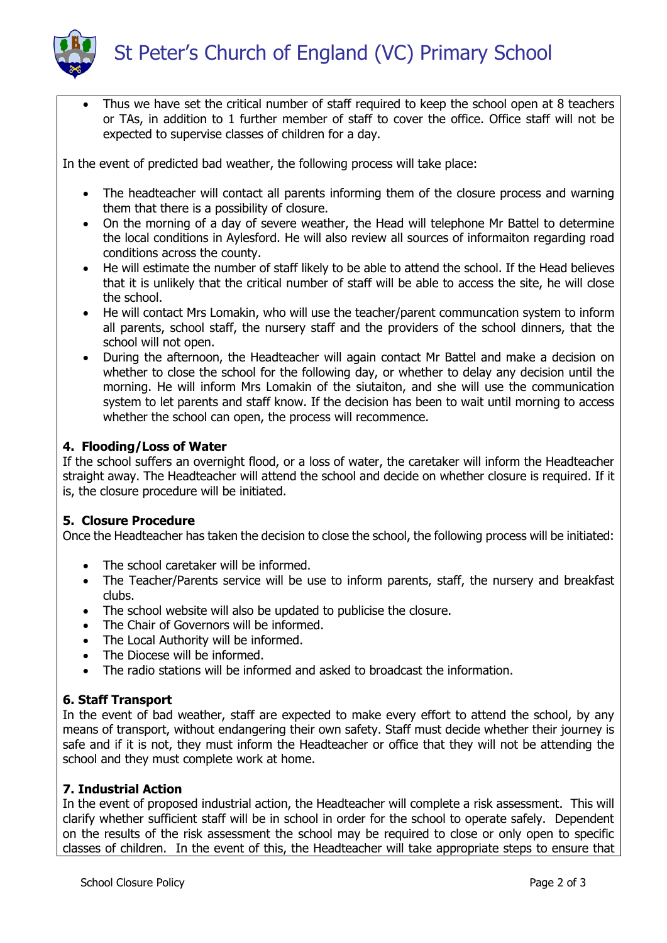

 Thus we have set the critical number of staff required to keep the school open at 8 teachers or TAs, in addition to 1 further member of staff to cover the office. Office staff will not be expected to supervise classes of children for a day.

In the event of predicted bad weather, the following process will take place:

- The headteacher will contact all parents informing them of the closure process and warning them that there is a possibility of closure.
- On the morning of a day of severe weather, the Head will telephone Mr Battel to determine the local conditions in Aylesford. He will also review all sources of informaiton regarding road conditions across the county.
- He will estimate the number of staff likely to be able to attend the school. If the Head believes that it is unlikely that the critical number of staff will be able to access the site, he will close the school.
- He will contact Mrs Lomakin, who will use the teacher/parent communcation system to inform all parents, school staff, the nursery staff and the providers of the school dinners, that the school will not open.
- During the afternoon, the Headteacher will again contact Mr Battel and make a decision on whether to close the school for the following day, or whether to delay any decision until the morning. He will inform Mrs Lomakin of the siutaiton, and she will use the communication system to let parents and staff know. If the decision has been to wait until morning to access whether the school can open, the process will recommence.

# **4. Flooding/Loss of Water**

If the school suffers an overnight flood, or a loss of water, the caretaker will inform the Headteacher straight away. The Headteacher will attend the school and decide on whether closure is required. If it is, the closure procedure will be initiated.

## **5. Closure Procedure**

Once the Headteacher has taken the decision to close the school, the following process will be initiated:

- The school caretaker will be informed.
- The Teacher/Parents service will be use to inform parents, staff, the nursery and breakfast clubs.
- The school website will also be updated to publicise the closure.
- The Chair of Governors will be informed.
- The Local Authority will be informed.
- The Diocese will be informed.
- The radio stations will be informed and asked to broadcast the information.

## **6. Staff Transport**

In the event of bad weather, staff are expected to make every effort to attend the school, by any means of transport, without endangering their own safety. Staff must decide whether their journey is safe and if it is not, they must inform the Headteacher or office that they will not be attending the school and they must complete work at home.

## **7. Industrial Action**

In the event of proposed industrial action, the Headteacher will complete a risk assessment. This will clarify whether sufficient staff will be in school in order for the school to operate safely. Dependent on the results of the risk assessment the school may be required to close or only open to specific classes of children. In the event of this, the Headteacher will take appropriate steps to ensure that